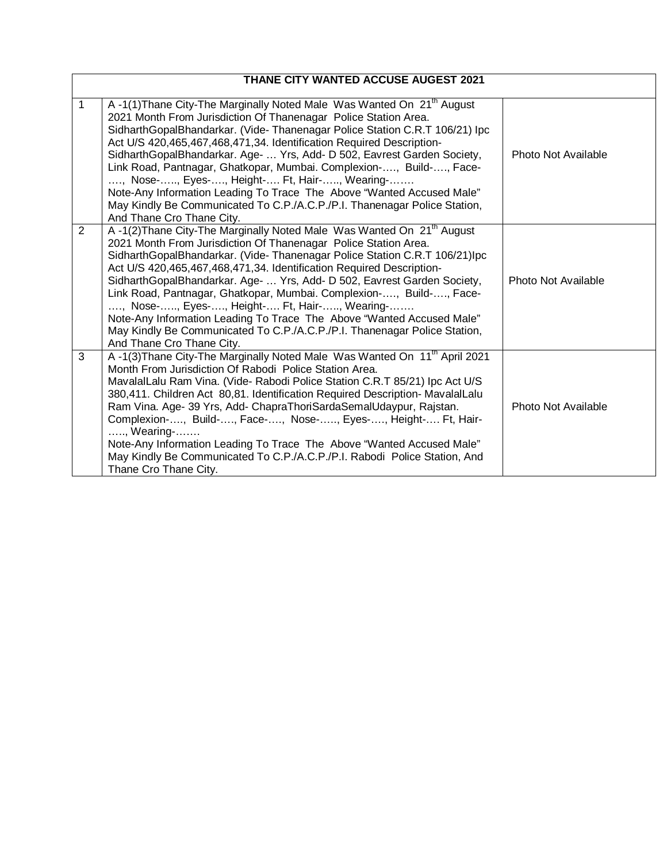| THANE CITY WANTED ACCUSE AUGEST 2021 |                                                                                                                                                                                                                                                                                                                                                                                                                                                                                                                                                                                                                                                                                                 |                     |
|--------------------------------------|-------------------------------------------------------------------------------------------------------------------------------------------------------------------------------------------------------------------------------------------------------------------------------------------------------------------------------------------------------------------------------------------------------------------------------------------------------------------------------------------------------------------------------------------------------------------------------------------------------------------------------------------------------------------------------------------------|---------------------|
|                                      |                                                                                                                                                                                                                                                                                                                                                                                                                                                                                                                                                                                                                                                                                                 |                     |
| $\mathbf 1$                          | A -1(1) Thane City-The Marginally Noted Male Was Wanted On 21 <sup>th</sup> August<br>2021 Month From Jurisdiction Of Thanenagar Police Station Area.<br>SidharthGopalBhandarkar. (Vide-Thanenagar Police Station C.R.T 106/21) Ipc<br>Act U/S 420,465,467,468,471,34. Identification Required Description-<br>SidharthGopalBhandarkar. Age-  Yrs, Add- D 502, Eavrest Garden Society,<br>Link Road, Pantnagar, Ghatkopar, Mumbai. Complexion-, Build-, Face-<br>, Nose-, Eyes-, Height- Ft, Hair-, Wearing-<br>Note-Any Information Leading To Trace The Above "Wanted Accused Male"<br>May Kindly Be Communicated To C.P./A.C.P./P.I. Thanenagar Police Station,<br>And Thane Cro Thane City. | Photo Not Available |
| 2                                    | A -1(2) Thane City-The Marginally Noted Male Was Wanted On 21 <sup>th</sup> August<br>2021 Month From Jurisdiction Of Thanenagar Police Station Area.<br>SidharthGopalBhandarkar. (Vide-Thanenagar Police Station C.R.T 106/21)Ipc<br>Act U/S 420,465,467,468,471,34. Identification Required Description-<br>SidharthGopalBhandarkar. Age-  Yrs, Add- D 502, Eavrest Garden Society,<br>Link Road, Pantnagar, Ghatkopar, Mumbai. Complexion-, Build-, Face-<br>, Nose-, Eyes-, Height- Ft, Hair-, Wearing-<br>Note-Any Information Leading To Trace The Above "Wanted Accused Male"<br>May Kindly Be Communicated To C.P./A.C.P./P.I. Thanenagar Police Station,<br>And Thane Cro Thane City.  | Photo Not Available |
| 3                                    | A-1(3) Thane City-The Marginally Noted Male Was Wanted On 11 <sup>th</sup> April 2021<br>Month From Jurisdiction Of Rabodi Police Station Area.<br>MavalalLalu Ram Vina. (Vide- Rabodi Police Station C.R.T 85/21) Ipc Act U/S<br>380,411. Children Act 80,81. Identification Required Description- MavalalLalu<br>Ram Vina. Age- 39 Yrs, Add- ChapraThoriSardaSemalUdaypur, Rajstan.<br>Complexion-, Build-, Face-, Nose-, Eyes-, Height- Ft, Hair-<br>, Wearing-<br>Note-Any Information Leading To Trace The Above "Wanted Accused Male"<br>May Kindly Be Communicated To C.P./A.C.P./P.I. Rabodi Police Station, And<br>Thane Cro Thane City.                                               | Photo Not Available |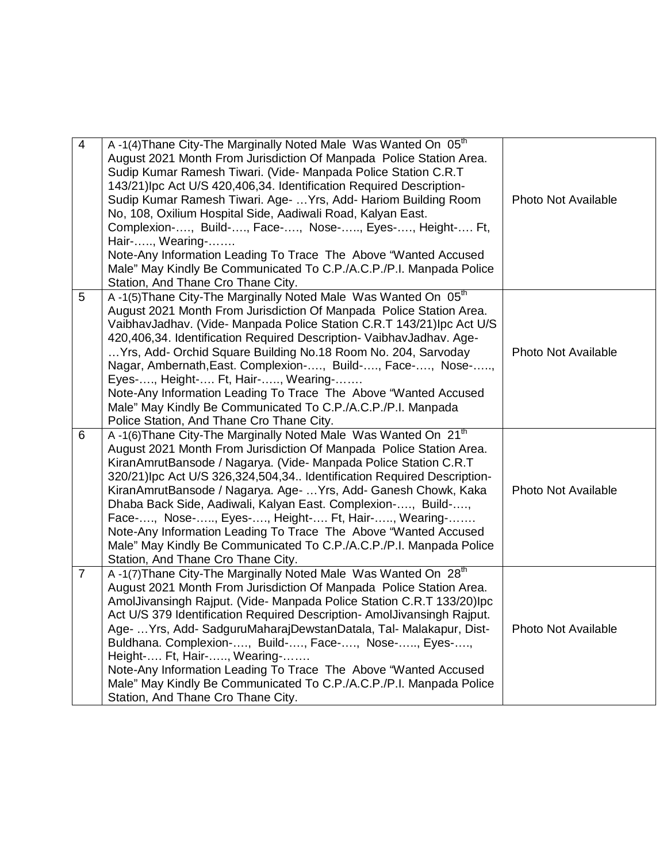| $\overline{4}$ | A-1(4) Thane City-The Marginally Noted Male Was Wanted On 05 <sup>th</sup><br>August 2021 Month From Jurisdiction Of Manpada Police Station Area.<br>Sudip Kumar Ramesh Tiwari. (Vide- Manpada Police Station C.R.T<br>143/21)Ipc Act U/S 420,406,34. Identification Required Description-<br>Sudip Kumar Ramesh Tiwari. Age-  Yrs, Add- Hariom Building Room<br>No, 108, Oxilium Hospital Side, Aadiwali Road, Kalyan East.<br>Complexion-, Build-, Face-, Nose-, Eyes-, Height- Ft,<br>Hair-, Wearing-<br>Note-Any Information Leading To Trace The Above "Wanted Accused<br>Male" May Kindly Be Communicated To C.P./A.C.P./P.I. Manpada Police<br>Station, And Thane Cro Thane City. | <b>Photo Not Available</b> |
|----------------|------------------------------------------------------------------------------------------------------------------------------------------------------------------------------------------------------------------------------------------------------------------------------------------------------------------------------------------------------------------------------------------------------------------------------------------------------------------------------------------------------------------------------------------------------------------------------------------------------------------------------------------------------------------------------------------|----------------------------|
| 5              | A-1(5) Thane City-The Marginally Noted Male Was Wanted On 05 <sup>th</sup><br>August 2021 Month From Jurisdiction Of Manpada Police Station Area.<br>VaibhavJadhav. (Vide- Manpada Police Station C.R.T 143/21)lpc Act U/S<br>420,406,34. Identification Required Description- VaibhavJadhav. Age-<br>Yrs, Add- Orchid Square Building No.18 Room No. 204, Sarvoday<br>Nagar, Ambernath, East. Complexion-, Build-, Face-, Nose-,<br>Eyes-, Height- Ft, Hair-, Wearing-<br>Note-Any Information Leading To Trace The Above "Wanted Accused<br>Male" May Kindly Be Communicated To C.P./A.C.P./P.I. Manpada<br>Police Station, And Thane Cro Thane City.                                  | <b>Photo Not Available</b> |
| 6              | A-1(6) Thane City-The Marginally Noted Male Was Wanted On 21 <sup>th</sup><br>August 2021 Month From Jurisdiction Of Manpada Police Station Area.<br>KiranAmrutBansode / Nagarya. (Vide- Manpada Police Station C.R.T<br>320/21)Ipc Act U/S 326,324,504,34 Identification Required Description-<br>KiranAmrutBansode / Nagarya. Age-  Yrs, Add- Ganesh Chowk, Kaka<br>Dhaba Back Side, Aadiwali, Kalyan East. Complexion-, Build-,<br>Face-, Nose-, Eyes-, Height- Ft, Hair-, Wearing-<br>Note-Any Information Leading To Trace The Above "Wanted Accused<br>Male" May Kindly Be Communicated To C.P./A.C.P./P.I. Manpada Police<br>Station, And Thane Cro Thane City.                   | <b>Photo Not Available</b> |
| $\overline{7}$ | A-1(7) Thane City-The Marginally Noted Male Was Wanted On 28 <sup>th</sup><br>August 2021 Month From Jurisdiction Of Manpada Police Station Area.<br>AmolJivansingh Rajput. (Vide- Manpada Police Station C.R.T 133/20)lpc<br>Act U/S 379 Identification Required Description- AmolJivansingh Rajput.<br>Age-  Yrs, Add- SadguruMaharajDewstanDatala, Tal- Malakapur, Dist-<br>Buldhana. Complexion-, Build-, Face-, Nose-, Eyes-,<br>Height- Ft, Hair-, Wearing-<br>Note-Any Information Leading To Trace The Above "Wanted Accused<br>Male" May Kindly Be Communicated To C.P./A.C.P./P.I. Manpada Police<br>Station, And Thane Cro Thane City.                                        | <b>Photo Not Available</b> |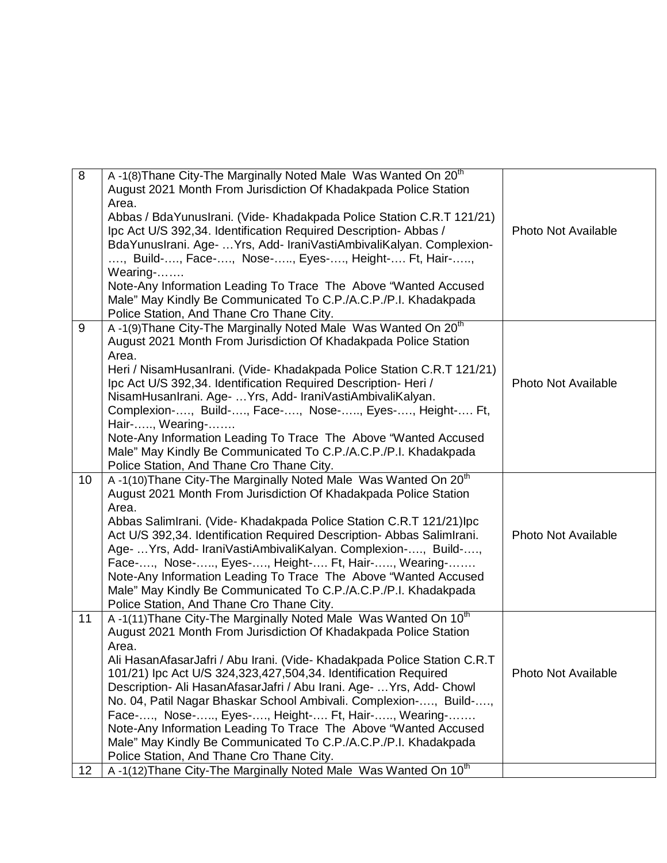| 8  | A -1(8) Thane City-The Marginally Noted Male Was Wanted On 20 <sup>th</sup><br>August 2021 Month From Jurisdiction Of Khadakpada Police Station |                            |
|----|-------------------------------------------------------------------------------------------------------------------------------------------------|----------------------------|
|    | Area.                                                                                                                                           |                            |
|    | Abbas / BdaYunusIrani. (Vide- Khadakpada Police Station C.R.T 121/21)                                                                           |                            |
|    | Ipc Act U/S 392,34. Identification Required Description-Abbas /                                                                                 | Photo Not Available        |
|    | BdaYunusIrani. Age-  Yrs, Add- IraniVastiAmbivaliKalyan. Complexion-                                                                            |                            |
|    |                                                                                                                                                 |                            |
|    | , Build-, Face-, Nose-, Eyes-, Height- Ft, Hair-,                                                                                               |                            |
|    | Wearing-                                                                                                                                        |                            |
|    | Note-Any Information Leading To Trace The Above "Wanted Accused                                                                                 |                            |
|    | Male" May Kindly Be Communicated To C.P./A.C.P./P.I. Khadakpada                                                                                 |                            |
|    | Police Station, And Thane Cro Thane City.                                                                                                       |                            |
| 9  | A -1(9) Thane City-The Marginally Noted Male Was Wanted On 20 <sup>th</sup>                                                                     |                            |
|    | August 2021 Month From Jurisdiction Of Khadakpada Police Station                                                                                |                            |
|    | Area.                                                                                                                                           |                            |
|    | Heri / NisamHusanIrani. (Vide- Khadakpada Police Station C.R.T 121/21)                                                                          |                            |
|    | Ipc Act U/S 392,34. Identification Required Description-Heri /                                                                                  | <b>Photo Not Available</b> |
|    | NisamHusanIrani. Age-  Yrs, Add- IraniVastiAmbivaliKalyan.                                                                                      |                            |
|    | Complexion-, Build-, Face-, Nose-, Eyes-, Height- Ft,                                                                                           |                            |
|    | Hair-, Wearing-                                                                                                                                 |                            |
|    | Note-Any Information Leading To Trace The Above "Wanted Accused                                                                                 |                            |
|    | Male" May Kindly Be Communicated To C.P./A.C.P./P.I. Khadakpada                                                                                 |                            |
|    | Police Station, And Thane Cro Thane City.                                                                                                       |                            |
| 10 | A-1(10) Thane City-The Marginally Noted Male Was Wanted On 20 <sup>th</sup>                                                                     |                            |
|    | August 2021 Month From Jurisdiction Of Khadakpada Police Station                                                                                |                            |
|    | Area.                                                                                                                                           |                            |
|    | Abbas SalimIrani. (Vide- Khadakpada Police Station C.R.T 121/21)Ipc                                                                             |                            |
|    | Act U/S 392,34. Identification Required Description- Abbas SalimIrani.                                                                          | Photo Not Available        |
|    | Age-  Yrs, Add- IraniVastiAmbivaliKalyan. Complexion-, Build-,                                                                                  |                            |
|    | Face-, Nose-, Eyes-, Height- Ft, Hair-, Wearing-                                                                                                |                            |
|    | Note-Any Information Leading To Trace The Above "Wanted Accused                                                                                 |                            |
|    | Male" May Kindly Be Communicated To C.P./A.C.P./P.I. Khadakpada                                                                                 |                            |
|    | Police Station, And Thane Cro Thane City.                                                                                                       |                            |
| 11 | A-1(11) Thane City-The Marginally Noted Male Was Wanted On 10 <sup>th</sup>                                                                     |                            |
|    | August 2021 Month From Jurisdiction Of Khadakpada Police Station                                                                                |                            |
|    | Area.                                                                                                                                           |                            |
|    | Ali HasanAfasarJafri / Abu Irani. (Vide- Khadakpada Police Station C.R.T                                                                        |                            |
|    | 101/21) lpc Act U/S 324,323,427,504,34. Identification Required                                                                                 | Photo Not Available        |
|    | Description- Ali HasanAfasarJafri / Abu Irani. Age-  Yrs, Add- Chowl                                                                            |                            |
|    | No. 04, Patil Nagar Bhaskar School Ambivali. Complexion-, Build-,                                                                               |                            |
|    | Face-, Nose-, Eyes-, Height- Ft, Hair-, Wearing-                                                                                                |                            |
|    | Note-Any Information Leading To Trace The Above "Wanted Accused                                                                                 |                            |
|    | Male" May Kindly Be Communicated To C.P./A.C.P./P.I. Khadakpada                                                                                 |                            |
|    | Police Station, And Thane Cro Thane City.                                                                                                       |                            |
| 12 | A-1(12) Thane City-The Marginally Noted Male Was Wanted On 10 <sup>th</sup>                                                                     |                            |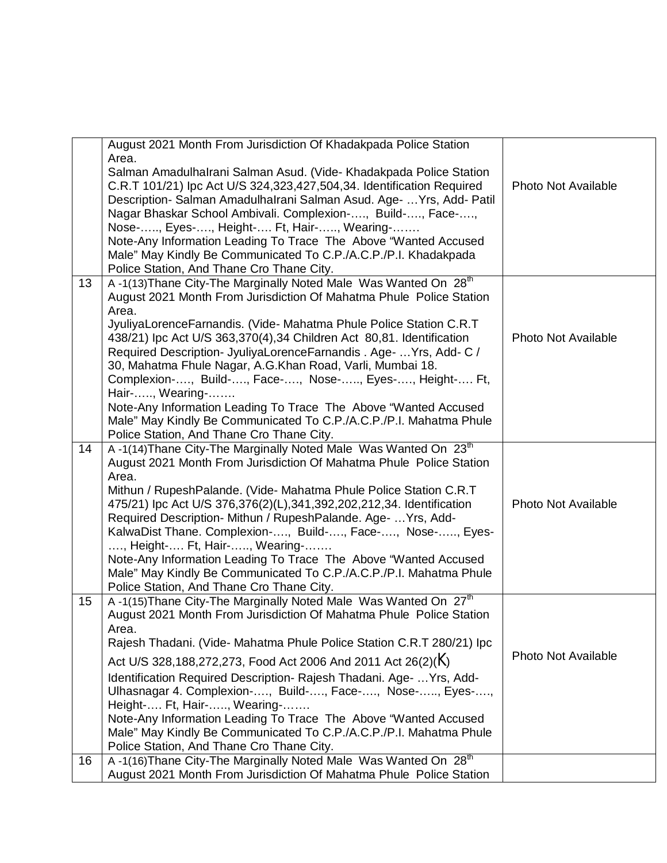|    | August 2021 Month From Jurisdiction Of Khadakpada Police Station<br>Area.                                                                          |                            |
|----|----------------------------------------------------------------------------------------------------------------------------------------------------|----------------------------|
|    | Salman Amadulhalrani Salman Asud. (Vide- Khadakpada Police Station                                                                                 |                            |
|    | C.R.T 101/21) lpc Act U/S 324,323,427,504,34. Identification Required                                                                              | <b>Photo Not Available</b> |
|    | Description- Salman Amadulhalrani Salman Asud. Age-  Yrs, Add- Patil                                                                               |                            |
|    | Nagar Bhaskar School Ambivali. Complexion-, Build-, Face-,                                                                                         |                            |
|    | Nose-, Eyes-, Height- Ft, Hair-, Wearing-                                                                                                          |                            |
|    | Note-Any Information Leading To Trace The Above "Wanted Accused<br>Male" May Kindly Be Communicated To C.P./A.C.P./P.I. Khadakpada                 |                            |
|    | Police Station, And Thane Cro Thane City.                                                                                                          |                            |
| 13 | A-1(13) Thane City-The Marginally Noted Male Was Wanted On 28 <sup>th</sup>                                                                        |                            |
|    | August 2021 Month From Jurisdiction Of Mahatma Phule Police Station                                                                                |                            |
|    | Area.                                                                                                                                              |                            |
|    | JyuliyaLorenceFarnandis. (Vide- Mahatma Phule Police Station C.R.T                                                                                 |                            |
|    | 438/21) lpc Act U/S 363,370(4),34 Children Act 80,81. Identification                                                                               | <b>Photo Not Available</b> |
|    | Required Description- JyuliyaLorenceFarnandis . Age-  Yrs, Add- C /                                                                                |                            |
|    | 30, Mahatma Fhule Nagar, A.G.Khan Road, Varli, Mumbai 18.<br>Complexion-, Build-, Face-, Nose-, Eyes-, Height- Ft,                                 |                            |
|    | Hair-, Wearing-                                                                                                                                    |                            |
|    | Note-Any Information Leading To Trace The Above "Wanted Accused                                                                                    |                            |
|    | Male" May Kindly Be Communicated To C.P./A.C.P./P.I. Mahatma Phule                                                                                 |                            |
|    | Police Station, And Thane Cro Thane City.                                                                                                          |                            |
| 14 | A-1(14) Thane City-The Marginally Noted Male Was Wanted On 23 <sup>th</sup>                                                                        |                            |
|    | August 2021 Month From Jurisdiction Of Mahatma Phule Police Station                                                                                |                            |
|    | Area.<br>Mithun / RupeshPalande. (Vide- Mahatma Phule Police Station C.R.T                                                                         |                            |
|    | 475/21) lpc Act U/S 376,376(2)(L),341,392,202,212,34. Identification                                                                               | <b>Photo Not Available</b> |
|    | Required Description- Mithun / RupeshPalande. Age-  Yrs, Add-                                                                                      |                            |
|    | KalwaDist Thane. Complexion-, Build-, Face-, Nose-, Eyes-                                                                                          |                            |
|    | , Height- Ft, Hair-, Wearing-                                                                                                                      |                            |
|    | Note-Any Information Leading To Trace The Above "Wanted Accused                                                                                    |                            |
|    | Male" May Kindly Be Communicated To C.P./A.C.P./P.I. Mahatma Phule                                                                                 |                            |
|    | Police Station, And Thane Cro Thane City.                                                                                                          |                            |
| 15 | A-1(15) Thane City-The Marginally Noted Male Was Wanted On 27 <sup>th</sup><br>August 2021 Month From Jurisdiction Of Mahatma Phule Police Station |                            |
|    | Area.                                                                                                                                              |                            |
|    | Rajesh Thadani. (Vide- Mahatma Phule Police Station C.R.T 280/21) lpc                                                                              |                            |
|    | Act U/S 328, 188, 272, 273, Food Act 2006 And 2011 Act 26(2)(K)                                                                                    | <b>Photo Not Available</b> |
|    | Identification Required Description- Rajesh Thadani. Age-  Yrs, Add-                                                                               |                            |
|    | Ulhasnagar 4. Complexion-, Build-, Face-, Nose-, Eyes-,                                                                                            |                            |
|    | Height- Ft, Hair-, Wearing-                                                                                                                        |                            |
|    | Note-Any Information Leading To Trace The Above "Wanted Accused                                                                                    |                            |
|    | Male" May Kindly Be Communicated To C.P./A.C.P./P.I. Mahatma Phule                                                                                 |                            |
|    | Police Station, And Thane Cro Thane City.                                                                                                          |                            |
| 16 | A-1(16) Thane City-The Marginally Noted Male Was Wanted On 28th                                                                                    |                            |
|    | August 2021 Month From Jurisdiction Of Mahatma Phule Police Station                                                                                |                            |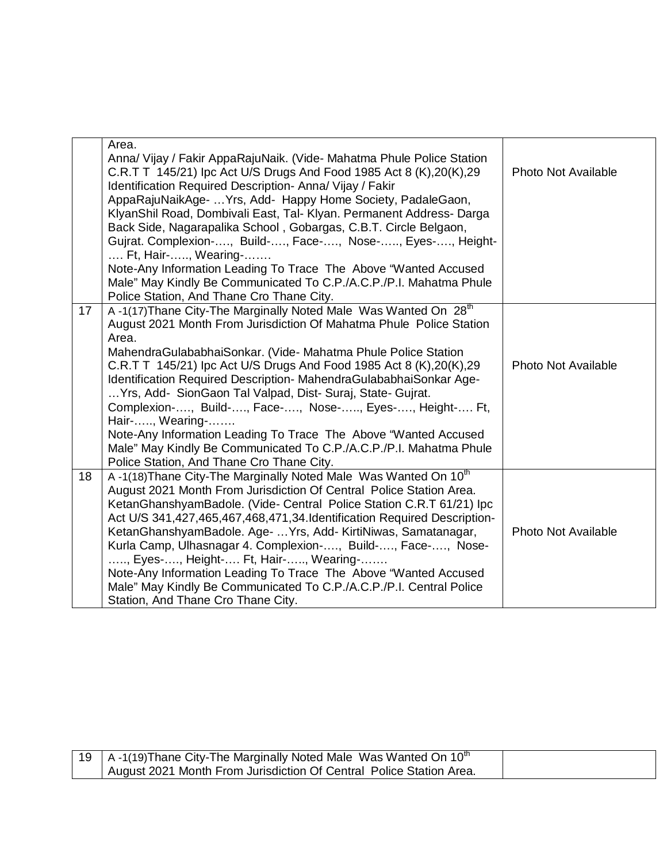|    | Area.<br>Anna/ Vijay / Fakir AppaRajuNaik. (Vide- Mahatma Phule Police Station<br>C.R.T T 145/21) lpc Act U/S Drugs And Food 1985 Act 8 (K), 20 (K), 29<br>Identification Required Description- Anna/ Vijay / Fakir<br>AppaRajuNaikAge-  Yrs, Add- Happy Home Society, PadaleGaon,<br>KlyanShil Road, Dombivali East, Tal- Klyan. Permanent Address- Darga<br>Back Side, Nagarapalika School, Gobargas, C.B.T. Circle Belgaon,<br>Gujrat. Complexion-, Build-, Face-, Nose-, Eyes-, Height-<br>Ft, Hair-, Wearing-<br>Note-Any Information Leading To Trace The Above "Wanted Accused<br>Male" May Kindly Be Communicated To C.P./A.C.P./P.I. Mahatma Phule<br>Police Station, And Thane Cro Thane City.     | Photo Not Available        |
|----|--------------------------------------------------------------------------------------------------------------------------------------------------------------------------------------------------------------------------------------------------------------------------------------------------------------------------------------------------------------------------------------------------------------------------------------------------------------------------------------------------------------------------------------------------------------------------------------------------------------------------------------------------------------------------------------------------------------|----------------------------|
| 17 | A-1(17) Thane City-The Marginally Noted Male Was Wanted On 28 <sup>th</sup><br>August 2021 Month From Jurisdiction Of Mahatma Phule Police Station<br>Area.<br>MahendraGulababhaiSonkar. (Vide- Mahatma Phule Police Station<br>C.R.T T 145/21) lpc Act U/S Drugs And Food 1985 Act 8 (K), 20 (K), 29<br>Identification Required Description- MahendraGulababhaiSonkar Age-<br>Yrs, Add- Sion Gaon Tal Valpad, Dist- Suraj, State- Gujrat.<br>Complexion-, Build-, Face-, Nose-, Eyes-, Height- Ft,<br>Hair-, Wearing-<br>Note-Any Information Leading To Trace The Above "Wanted Accused<br>Male" May Kindly Be Communicated To C.P./A.C.P./P.I. Mahatma Phule<br>Police Station, And Thane Cro Thane City. | <b>Photo Not Available</b> |
| 18 | A -1(18) Thane City-The Marginally Noted Male Was Wanted On 10 <sup>th</sup><br>August 2021 Month From Jurisdiction Of Central Police Station Area.<br>KetanGhanshyamBadole. (Vide- Central Police Station C.R.T 61/21) lpc<br>Act U/S 341,427,465,467,468,471,34. Identification Required Description-<br>KetanGhanshyamBadole. Age-  Yrs, Add- KirtiNiwas, Samatanagar,<br>Kurla Camp, Ulhasnagar 4. Complexion-, Build-, Face-, Nose-<br>, Eyes-, Height- Ft, Hair-, Wearing-<br>Note-Any Information Leading To Trace The Above "Wanted Accused<br>Male" May Kindly Be Communicated To C.P./A.C.P./P.I. Central Police<br>Station, And Thane Cro Thane City.                                             | <b>Photo Not Available</b> |

| 119 | <sup>1</sup>   A -1(19)Thane City-The Marginally Noted Male Was Wanted On $10^{\text{th}}$ |  |
|-----|--------------------------------------------------------------------------------------------|--|
|     | August 2021 Month From Jurisdiction Of Central Police Station Area.                        |  |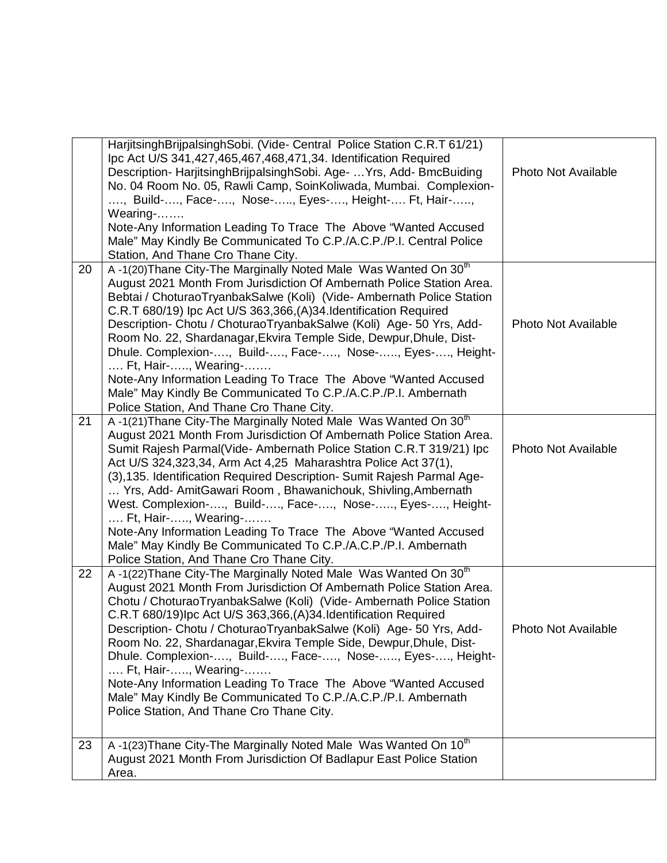|    | HarjitsinghBrijpalsinghSobi. (Vide- Central Police Station C.R.T 61/21)<br>Ipc Act U/S 341,427,465,467,468,471,34. Identification Required<br>Description-HarjitsinghBrijpalsinghSobi. Age-  Yrs, Add-BmcBuiding<br>No. 04 Room No. 05, Rawli Camp, SoinKoliwada, Mumbai. Complexion-<br>, Build-, Face-, Nose-, Eyes-, Height- Ft, Hair-,<br>Wearing-<br>Note-Any Information Leading To Trace The Above "Wanted Accused<br>Male" May Kindly Be Communicated To C.P./A.C.P./P.I. Central Police<br>Station, And Thane Cro Thane City.                                                                                                                                                                               | Photo Not Available        |
|----|----------------------------------------------------------------------------------------------------------------------------------------------------------------------------------------------------------------------------------------------------------------------------------------------------------------------------------------------------------------------------------------------------------------------------------------------------------------------------------------------------------------------------------------------------------------------------------------------------------------------------------------------------------------------------------------------------------------------|----------------------------|
| 20 | A-1(20) Thane City-The Marginally Noted Male Was Wanted On 30 <sup>th</sup><br>August 2021 Month From Jurisdiction Of Ambernath Police Station Area.<br>Bebtai / ChoturaoTryanbakSalwe (Koli) (Vide-Ambernath Police Station<br>C.R.T 680/19) Ipc Act U/S 363,366, (A) 34. Identification Required<br>Description- Chotu / ChoturaoTryanbakSalwe (Koli) Age- 50 Yrs, Add-<br>Room No. 22, Shardanagar, Ekvira Temple Side, Dewpur, Dhule, Dist-<br>Dhule. Complexion-, Build-, Face-, Nose-, Eyes-, Height-<br>Ft, Hair-, Wearing-<br>Note-Any Information Leading To Trace The Above "Wanted Accused<br>Male" May Kindly Be Communicated To C.P./A.C.P./P.I. Ambernath<br>Police Station, And Thane Cro Thane City. | <b>Photo Not Available</b> |
| 21 | A-1(21) Thane City-The Marginally Noted Male Was Wanted On 30 <sup>th</sup><br>August 2021 Month From Jurisdiction Of Ambernath Police Station Area.<br>Sumit Rajesh Parmal(Vide- Ambernath Police Station C.R.T 319/21) Ipc<br>Act U/S 324, 323, 34, Arm Act 4, 25 Maharashtra Police Act 37(1),<br>(3), 135. Identification Required Description- Sumit Rajesh Parmal Age-<br>Yrs, Add- AmitGawari Room, Bhawanichouk, Shivling, Ambernath<br>West. Complexion-, Build-, Face-, Nose-, Eyes-, Height-<br>Ft, Hair-, Wearing-<br>Note-Any Information Leading To Trace The Above "Wanted Accused<br>Male" May Kindly Be Communicated To C.P./A.C.P./P.I. Ambernath<br>Police Station, And Thane Cro Thane City.     | <b>Photo Not Available</b> |
| 22 | A-1(22) Thane City-The Marginally Noted Male Was Wanted On 30 <sup>th</sup><br>August 2021 Month From Jurisdiction Of Ambernath Police Station Area.<br>Chotu / ChoturaoTryanbakSalwe (Koli) (Vide-Ambernath Police Station<br>C.R.T 680/19)lpc Act U/S 363,366, (A) 34. Identification Required<br>Description- Chotu / ChoturaoTryanbakSalwe (Koli) Age- 50 Yrs, Add-<br>Room No. 22, Shardanagar, Ekvira Temple Side, Dewpur, Dhule, Dist-<br>Dhule. Complexion-, Build-, Face-, Nose-, Eyes-, Height-<br>Ft, Hair-, Wearing-<br>Note-Any Information Leading To Trace The Above "Wanted Accused<br>Male" May Kindly Be Communicated To C.P./A.C.P./P.I. Ambernath<br>Police Station, And Thane Cro Thane City.   | Photo Not Available        |
| 23 | A-1(23) Thane City-The Marginally Noted Male Was Wanted On 10 <sup>th</sup><br>August 2021 Month From Jurisdiction Of Badlapur East Police Station<br>Area.                                                                                                                                                                                                                                                                                                                                                                                                                                                                                                                                                          |                            |